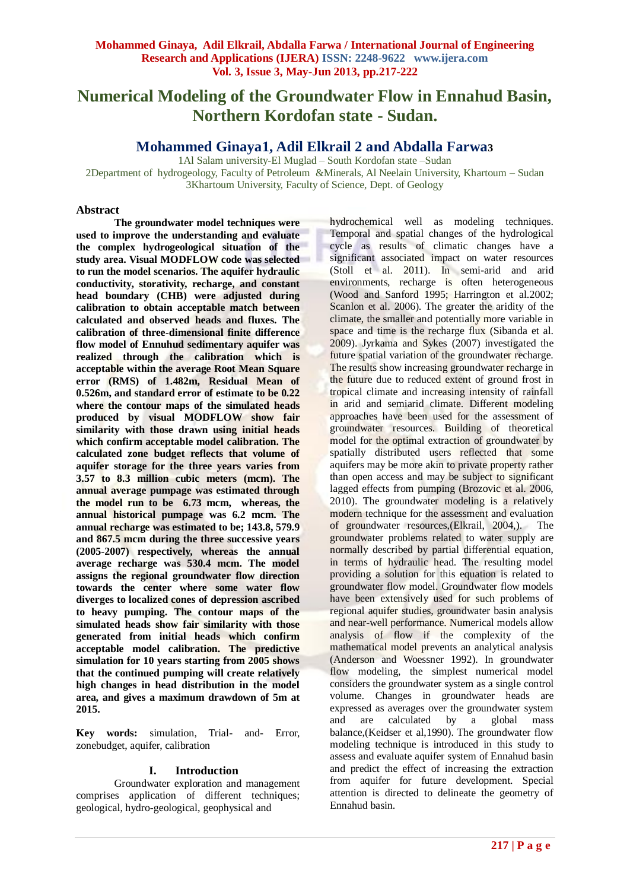# **Numerical Modeling of the Groundwater Flow in Ennahud Basin, Northern Kordofan state - Sudan.**

**Mohammed Ginaya1, Adil Elkrail 2 and Abdalla Farwa3**

1Al Salam university-El Muglad – South Kordofan state –Sudan 2Department of hydrogeology, Faculty of Petroleum &Minerals, Al Neelain University, Khartoum – Sudan 3Khartoum University, Faculty of Science, Dept. of Geology

### **Abstract**

**The groundwater model techniques were used to improve the understanding and evaluate the complex hydrogeological situation of the study area. Visual MODFLOW code was selected to run the model scenarios. The aquifer hydraulic conductivity, storativity, recharge, and constant head boundary (CHB) were adjusted during calibration to obtain acceptable match between calculated and observed heads and fluxes. The calibration of three-dimensional finite difference flow model of Ennuhud sedimentary aquifer was realized through the calibration which is acceptable within the average Root Mean Square error (RMS) of 1.482m, Residual Mean of 0.526m, and standard error of estimate to be 0.22 where the contour maps of the simulated heads produced by visual MODFLOW show fair similarity with those drawn using initial heads which confirm acceptable model calibration. The calculated zone budget reflects that volume of aquifer storage for the three years varies from 3.57 to 8.3 million cubic meters (mcm). The annual average pumpage was estimated through the model run to be 6.73 mcm, whereas, the annual historical pumpage was 6.2 mcm. The annual recharge was estimated to be; 143.8, 579.9 and 867.5 mcm during the three successive years (2005-2007) respectively, whereas the annual average recharge was 530.4 mcm. The model assigns the regional groundwater flow direction towards the center where some water flow diverges to localized cones of depression ascribed to heavy pumping. The contour maps of the simulated heads show fair similarity with those generated from initial heads which confirm acceptable model calibration. The predictive simulation for 10 years starting from 2005 shows that the continued pumping will create relatively high changes in head distribution in the model area, and gives a maximum drawdown of 5m at 2015.**

**Key words:** simulation, Trial- and- Error, zonebudget, aquifer, calibration

## **I. Introduction**

Groundwater exploration and management comprises application of different techniques; geological, hydro-geological, geophysical and

hydrochemical well as modeling techniques. Temporal and spatial changes of the hydrological cycle as results of climatic changes have a significant associated impact on water resources (Stoll et al. 2011). In semi-arid and arid environments, recharge is often heterogeneous (Wood and Sanford 1995; Harrington et al.2002; Scanlon et al. 2006). The greater the aridity of the climate, the smaller and potentially more variable in space and time is the recharge flux (Sibanda et al. 2009). Jyrkama and Sykes (2007) investigated the future spatial variation of the groundwater recharge. The results show increasing groundwater recharge in the future due to reduced extent of ground frost in tropical climate and increasing intensity of rainfall in arid and semiarid climate. Different modeling approaches have been used for the assessment of groundwater resources. Building of theoretical model for the optimal extraction of groundwater by spatially distributed users reflected that some aquifers may be more akin to private property rather than open access and may be subject to significant lagged effects from pumping (Brozovic et al. 2006, 2010). The groundwater modeling is a relatively modern technique for the assessment and evaluation of groundwater resources,(Elkrail, 2004,). The groundwater problems related to water supply are normally described by partial differential equation, in terms of hydraulic head. The resulting model providing a solution for this equation is related to groundwater flow model. Groundwater flow models have been extensively used for such problems of regional aquifer studies, groundwater basin analysis and near-well performance. Numerical models allow analysis of flow if the complexity of the mathematical model prevents an analytical analysis (Anderson and Woessner 1992). In groundwater flow modeling, the simplest numerical model considers the groundwater system as a single control volume. Changes in groundwater heads are expressed as averages over the groundwater system and are calculated by a global mass balance,(Keidser et al,1990). The groundwater flow modeling technique is introduced in this study to assess and evaluate aquifer system of Ennahud basin and predict the effect of increasing the extraction from aquifer for future development. Special attention is directed to delineate the geometry of Ennahud basin.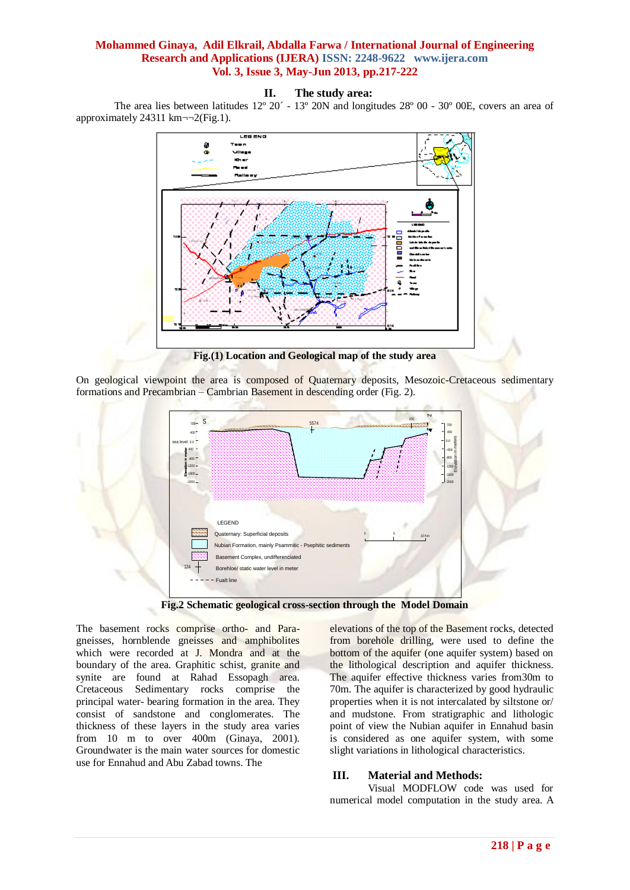#### **II. The study area:**

The area lies between latitudes 12º 20´ - 13º 20N and longitudes 28º 00 - 30º 00E, covers an area of approximately 24311 km $\neg\neg$ 2(Fig.1).



**Fig.(1) Location and Geological map of the study area**

On geological viewpoint the area is composed of Quaternary deposits, Mesozoic-Cretaceous sedimentary formations and Precambrian – Cambrian Basement in descending order (Fig. 2).



**Fig.2 Schematic geological cross-section through the Model Domain**

The basement rocks comprise ortho- and Paragneisses, hornblende gneisses and amphibolites which were recorded at J. Mondra and at the boundary of the area. Graphitic schist, granite and synite are found at Rahad Essopagh area. Cretaceous Sedimentary rocks comprise the principal water- bearing formation in the area. They consist of sandstone and conglomerates. The thickness of these layers in the study area varies from 10 m to over 400m (Ginaya, 2001). Groundwater is the main water sources for domestic use for Ennahud and Abu Zabad towns. The

elevations of the top of the Basement rocks, detected from borehole drilling, were used to define the bottom of the aquifer (one aquifer system) based on the lithological description and aquifer thickness. The aquifer effective thickness varies from30m to 70m. The aquifer is characterized by good hydraulic properties when it is not intercalated by siltstone or/ and mudstone. From stratigraphic and lithologic point of view the Nubian aquifer in Ennahud basin is considered as one aquifer system, with some slight variations in lithological characteristics.

#### **III. Material and Methods:**

Visual MODFLOW code was used for numerical model computation in the study area. A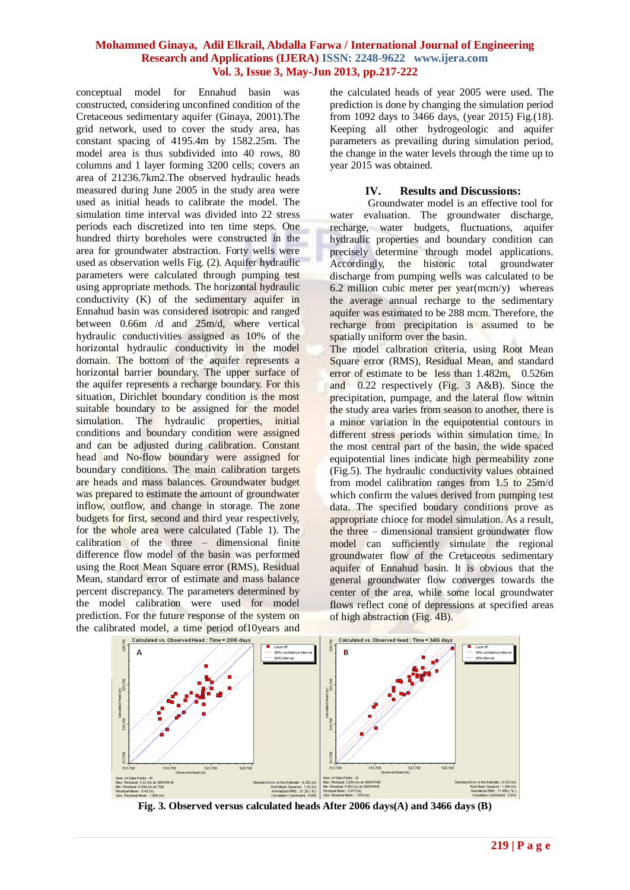conceptual model for Ennahud basin was constructed, considering unconfined condition of the Cretaceous sedimentary aquifer (Ginaya, 2001).The grid network, used to cover the study area, has constant spacing of 4195.4m by 1582.25m. The model area is thus subdivided into 40 rows, 80 columns and 1 layer forming 3200 cells; covers an area of 21236.7km2.The observed hydraulic heads measured during June 2005 in the study area were used as initial heads to calibrate the model. The simulation time interval was divided into 22 stress periods each discretized into ten time steps. One hundred thirty boreholes were constructed in the area for groundwater abstraction. Forty wells were used as observation wells Fig. (2). Aquifer hydraulic parameters were calculated through pumping test using appropriate methods. The horizontal hydraulic conductivity (K) of the sedimentary aquifer in Ennahud basin was considered isotropic and ranged between 0.66m /d and 25m/d, where vertical hydraulic conductivities assigned as 10% of the horizontal hydraulic conductivity in the model domain. The bottom of the aquifer represents a horizontal barrier boundary. The upper surface of the aquifer represents a recharge boundary. For this situation, Dirichlet boundary condition is the most suitable boundary to be assigned for the model simulation. The hydraulic properties, initial conditions and boundary condition were assigned and can be adjusted during calibration. Constant head and No-flow boundary were assigned for boundary conditions. The main calibration targets are heads and mass balances. Groundwater budget was prepared to estimate the amount of groundwater inflow, outflow, and change in storage. The zone budgets for first, second and third year respectively, for the whole area were calculated (Table 1). The calibration of the three – dimensional finite difference flow model of the basin was performed using the Root Mean Square error (RMS), Residual Mean, standard error of estimate and mass balance percent discrepancy. The parameters determined by the model calibration were used for model prediction. For the future response of the system on the calibrated model, a time period of10years and

the calculated heads of year 2005 were used. The prediction is done by changing the simulation period from 1092 days to 3466 days, (year 2015) Fig.(18). Keeping all other hydrogeologic and aquifer parameters as prevailing during simulation period, the change in the water levels through the time up to year 2015 was obtained.

#### **IV. Results and Discussions:**

Groundwater model is an effective tool for water evaluation. The groundwater discharge, recharge, water budgets, fluctuations, aquifer hydraulic properties and boundary condition can precisely determine through model applications. Accordingly, the historic total groundwater discharge from pumping wells was calculated to be 6.2 million cubic meter per year(mcm/y) whereas the average annual recharge to the sedimentary aquifer was estimated to be 288 mcm. Therefore, the recharge from precipitation is assumed to be spatially uniform over the basin.

The model calbration criteria, using Root Mean Square error (RMS), Residual Mean, and standard error of estimate to be less than 1.482m, 0.526m and 0.22 respectively (Fig. 3 A&B). Since the precipitation, pumpage, and the lateral flow witnin the study area varies from season to another, there is a minor variation in the equipotential contours in different stress periods within simulation time. In the most central part of the basin, the wide spaced equipotential lines indicate high permeability zone (Fig.5). The hydraulic conductivity values obtained from model calibration ranges from 1.5 to 25m/d which confirm the values derived from pumping test data. The specified boudary conditions prove as appropriate chioce for model simulation. As a result, the three – dimensional transient groundwater flow model can sufficiently simulate the regional groundwater flow of the Cretaceous sedimentary aquifer of Ennahud basin. It is obvious that the general groundwater flow converges towards the center of the area, while some local groundwater flows reflect cone of depressions at specified areas of high abstraction (Fig. 4B).



**Fig. 3. Observed versus calculated heads After 2006 days(A) and 3466 days (B)**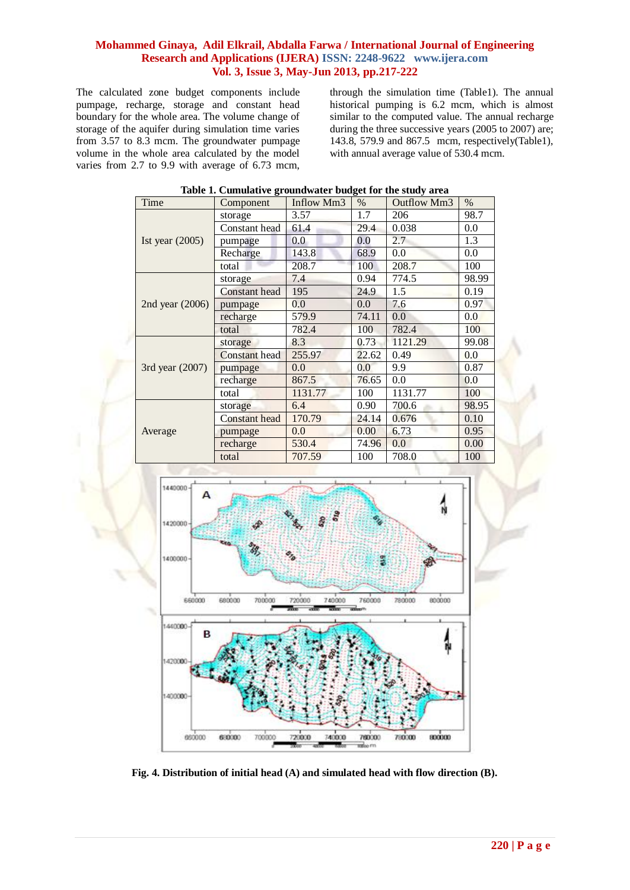The calculated zone budget components include pumpage, recharge, storage and constant head boundary for the whole area. The volume change of storage of the aquifer during simulation time varies from 3.57 to 8.3 mcm. The groundwater pumpage volume in the whole area calculated by the model varies from 2.7 to 9.9 with average of 6.73 mcm, through the simulation time (Table1). The annual historical pumping is 6.2 mcm, which is almost similar to the computed value. The annual recharge during the three successive years (2005 to 2007) are; 143.8, 579.9 and 867.5 mcm, respectively(Table1), with annual average value of 530.4 mcm.

| Time              | Component            | Inflow Mm3 | $\%$  | Outflow Mm3 | $\%$  |  |  |
|-------------------|----------------------|------------|-------|-------------|-------|--|--|
| Ist year $(2005)$ | storage              | 3.57       | 1.7   | 206         | 98.7  |  |  |
|                   | Constant head        | 61.4       | 29.4  | 0.038       | 0.0   |  |  |
|                   | pumpage              | 0.0        | 0.0   | 2.7         | 1.3   |  |  |
|                   | Recharge             | 143.8      | 68.9  | 0.0         | 0.0   |  |  |
|                   | total                | 208.7      | 100   | 208.7       | 100   |  |  |
| 2nd year $(2006)$ | storage              | 7.4        | 0.94  | 774.5       | 98.99 |  |  |
|                   | <b>Constant</b> head | 195        | 24.9  | 1.5         | 0.19  |  |  |
|                   | pumpage              | 0.0        | 0.0   | 7.6         | 0.97  |  |  |
|                   | recharge             | 579.9      | 74.11 | 0.0         | 0.0   |  |  |
|                   | total                | 782.4      | 100   | 782.4       | 100   |  |  |
| 3rd year (2007)   | storage              | 8.3        | 0.73  | 1121.29     | 99.08 |  |  |
|                   | <b>Constant</b> head | 255.97     | 22.62 | 0.49        | 0.0   |  |  |
|                   | pumpage              | 0.0        | 0.0   | 9.9         | 0.87  |  |  |
|                   | recharge             | 867.5      | 76.65 | 0.0         | 0.0   |  |  |
|                   | total                | 1131.77    | 100   | 1131.77     | 100   |  |  |
| Average           | storage              | 6.4        | 0.90  | 700.6       | 98.95 |  |  |
|                   | <b>Constant head</b> | 170.79     | 24.14 | 0.676       | 0.10  |  |  |
|                   | pumpage              | 0.0        | 0.00  | 6.73        | 0.95  |  |  |
|                   | recharge             | 530.4      | 74.96 | 0.0         | 0.00  |  |  |
|                   | total                | 707.59     | 100   | 708.0       | 100   |  |  |
|                   |                      |            |       |             |       |  |  |
| research.         |                      |            |       |             |       |  |  |

#### **Table 1. Cumulative groundwater budget for the study area**



**Fig. 4. Distribution of initial head (A) and simulated head with flow direction (B).**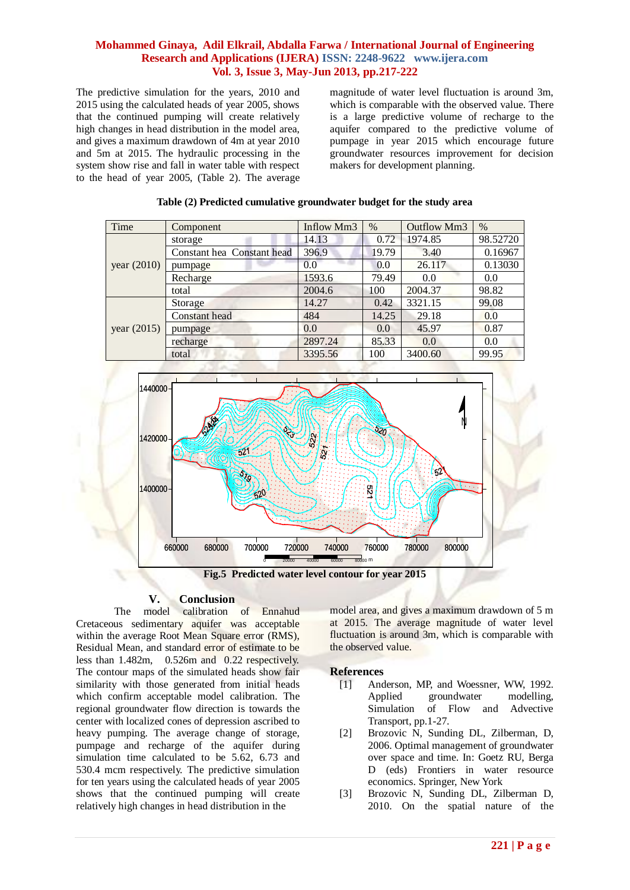The predictive simulation for the years, 2010 and 2015 using the calculated heads of year 2005, shows that the continued pumping will create relatively high changes in head distribution in the model area, and gives a maximum drawdown of 4m at year 2010 and 5m at 2015. The hydraulic processing in the system show rise and fall in water table with respect to the head of year 2005, (Table 2). The average magnitude of water level fluctuation is around 3m, which is comparable with the observed value. There is a large predictive volume of recharge to the aquifer compared to the predictive volume of pumpage in year 2015 which encourage future groundwater resources improvement for decision makers for development planning.

| Time          | Component                  | Inflow Mm3 | $\%$  | Outflow Mm3 | $\%$     |
|---------------|----------------------------|------------|-------|-------------|----------|
| year $(2010)$ | storage                    | 14.13      | 0.72  | 1974.85     | 98.52720 |
|               | Constant hea Constant head | 396.9      | 19.79 | 3.40        | 0.16967  |
|               | pumpage                    | 0.0        | 0.0   | 26.117      | 0.13030  |
|               | Recharge                   | 1593.6     | 79.49 | 0.0         | 0.0      |
|               | total                      | 2004.6     | 100   | 2004.37     | 98.82    |
| year $(2015)$ | Storage                    | 14.27      | 0.42  | 3321.15     | 99.08    |
|               | Constant head              | 484        | 14.25 | 29.18       | 0.0      |
|               | pumpage                    | 0.0        | 0.0   | 45.97       | 0.87     |
|               | recharge                   | 2897.24    | 85.33 | 0.0         | 0.0      |
|               | total                      | 3395.56    | 100   | 3400.60     | 99.95    |

#### **Table (2) Predicted cumulative groundwater budget for the study area**



**Fig.5 Predicted water level contour for year 2015**

## **V. Conclusion**

The model calibration of Ennahud Cretaceous sedimentary aquifer was acceptable within the average Root Mean Square error (RMS), Residual Mean, and standard error of estimate to be less than 1.482m, 0.526m and 0.22 respectively. The contour maps of the simulated heads show fair similarity with those generated from initial heads which confirm acceptable model calibration. The regional groundwater flow direction is towards the center with localized cones of depression ascribed to heavy pumping. The average change of storage, pumpage and recharge of the aquifer during simulation time calculated to be 5.62, 6.73 and 530.4 mcm respectively. The predictive simulation for ten years using the calculated heads of year 2005 shows that the continued pumping will create relatively high changes in head distribution in the

model area, and gives a maximum drawdown of 5 m at 2015. The average magnitude of water level fluctuation is around 3m, which is comparable with the observed value.

## **References**

- [1] Anderson, MP, and Woessner, WW, 1992. Applied groundwater modelling, Simulation of Flow and Advective Transport, pp.1-27.
- [2] Brozovic N, Sunding DL, Zilberman, D, 2006. Optimal management of groundwater over space and time. In: Goetz RU, Berga D (eds) Frontiers in water resource economics. Springer, New York
- [3] Brozovic N, Sunding DL, Zilberman D, 2010. On the spatial nature of the